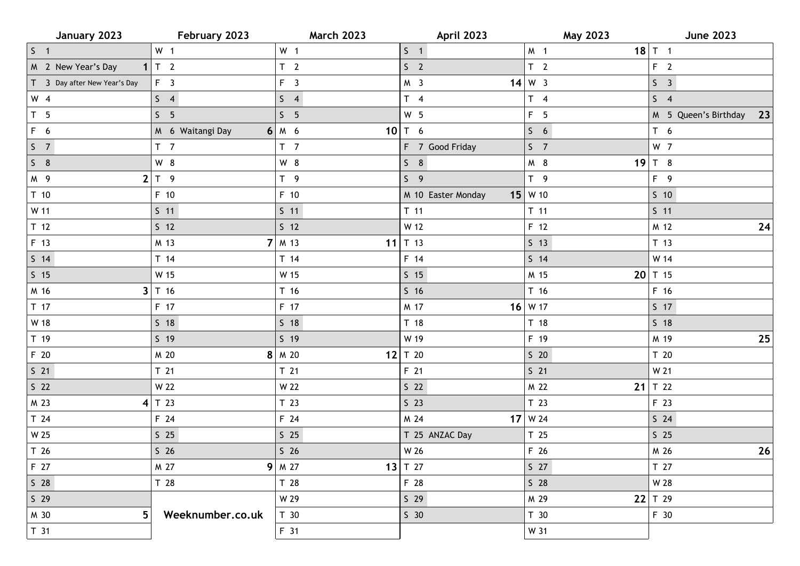| January 2023                 | February 2023    | <b>March 2023</b> | April 2023         | May 2023           | <b>June 2023</b>           |
|------------------------------|------------------|-------------------|--------------------|--------------------|----------------------------|
| $S \quad 1$                  | W <sub>1</sub>   | W <sub>1</sub>    | $5 \quad 1$        | M <sub>1</sub>     | $18$ T 1                   |
| M 2 New Year's Day           | $1 \tau $ 2      | T <sub>2</sub>    | S <sub>2</sub>     | T <sub>2</sub>     | F <sub>2</sub>             |
| T 3 Day after New Year's Day | F <sub>3</sub>   | $F \quad 3$       | M <sub>3</sub>     | $14 \mid W \mid 3$ | S <sub>3</sub>             |
| $W$ 4                        | S <sub>4</sub>   | $S \quad 4$       | $T \quad 4$        | $T \quad 4$        | $S \quad 4$                |
| T <sub>5</sub>               | S <sub>5</sub>   | S <sub>5</sub>    | W <sub>5</sub>     | F <sub>5</sub>     | M 5 Queen's Birthday<br>23 |
| F 6                          | M 6 Waitangi Day | $6$ M 6           | 10 $T$ 6           | $5\quad 6$         | T <sub>6</sub>             |
| S <sub>7</sub>               | T <sub>7</sub>   | T <sub>7</sub>    | F 7 Good Friday    | S <sub>7</sub>     | W 7                        |
| $S$ 8                        | W 8              | W 8               | $S$ 8              | M 8                | 19 $T$ 8                   |
| M 9                          | $2 T$ 9          | $T \quad 9$       | S <sub>9</sub>     | T <sub>9</sub>     | F 9                        |
| T <sub>10</sub>              | F 10             | F 10              | M 10 Easter Monday | $15$ W 10          | $S$ 10                     |
| W 11                         | $S$ 11           | $S$ 11            | $T$ 11             | $T$ 11             | $S$ 11                     |
| T <sub>12</sub>              | $S$ 12           | 5 <sub>12</sub>   | W 12               | F 12               | M 12<br>24                 |
| F 13                         | M 13             | $7 \mid M$ 13     | 11 $T$ 13          | $S$ 13             | T 13                       |
| $S$ 14                       | T 14             | T 14              | F 14               | $S$ 14             | W 14                       |
| $S$ 15                       | W 15             | W 15              | $S$ 15             | M 15               | $20$ T 15                  |
| M 16                         | $3$ T 16         | T <sub>16</sub>   | $S$ 16             | T 16               | F 16                       |
| T 17                         | F 17             | F 17              | M 17               | $16$ W 17          | 517                        |
| W 18                         | $S$ 18           | $S$ 18            | T 18               | T 18               | $S$ 18                     |
| T 19                         | $S$ 19           | $S$ 19            | W 19               | F 19               | M 19<br>25                 |
| F 20                         | M 20             | $8$ $M$ 20        | 12 $T$ 20          | $S$ 20             | T 20                       |
| $S$ 21                       | T 21             | T <sub>21</sub>   | F 21               | $S$ 21             | W 21                       |
| $S$ 22                       | W 22             | W 22              | $S$ 22             | M 22               | 21 $T$ 22                  |
| M 23<br>4                    | T 23             | T <sub>23</sub>   | $S$ 23             | T <sub>23</sub>    | F 23                       |
| T <sub>24</sub>              | F 24             | F 24              | M 24               | $17$ W 24          | $S$ 24                     |
| W 25                         | $S$ 25           | $S$ 25            | T 25 ANZAC Day     | T <sub>25</sub>    | $S$ 25                     |
| T 26                         | S <sub>26</sub>  | S <sub>26</sub>   | W 26               | F 26               | M 26<br>26                 |
| F 27                         | M 27             | $9$ M 27          | 13 $T$ 27          | S <sub>27</sub>    | T 27                       |
| $S$ 28                       | T 28             | T 28              | F 28               | $S$ 28             | W 28                       |
| $S$ 29                       |                  | W 29              | $S$ 29             | M 29<br>22         | T 29                       |
| 5<br>M 30                    | Weeknumber.co.uk | T <sub>30</sub>   | S <sub>30</sub>    | T 30               | F 30                       |
| T <sub>31</sub>              |                  | F 31              |                    | W 31               |                            |